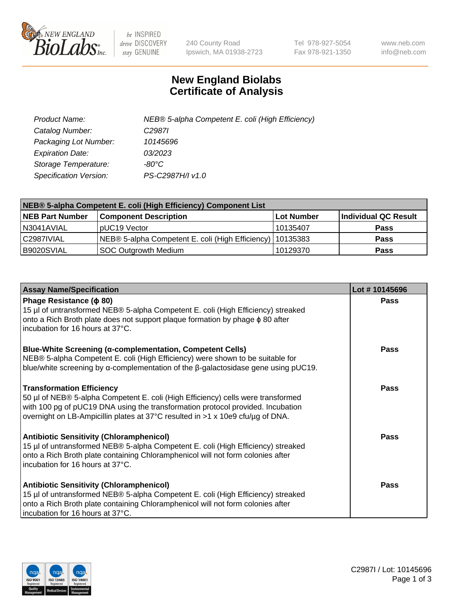

 $be$  INSPIRED drive DISCOVERY stay GENUINE

240 County Road Ipswich, MA 01938-2723 Tel 978-927-5054 Fax 978-921-1350 www.neb.com info@neb.com

## **New England Biolabs Certificate of Analysis**

| Product Name:           | NEB® 5-alpha Competent E. coli (High Efficiency) |
|-------------------------|--------------------------------------------------|
| Catalog Number:         | C <sub>2987</sub>                                |
| Packaging Lot Number:   | 10145696                                         |
| <b>Expiration Date:</b> | 03/2023                                          |
| Storage Temperature:    | -80°C.                                           |
| Specification Version:  | PS-C2987H/I v1.0                                 |

| NEB® 5-alpha Competent E. coli (High Efficiency) Component List |                                                             |            |                      |  |
|-----------------------------------------------------------------|-------------------------------------------------------------|------------|----------------------|--|
| <b>NEB Part Number</b>                                          | <b>Component Description</b>                                | Lot Number | Individual QC Result |  |
| N3041AVIAL                                                      | pUC19 Vector                                                | 10135407   | <b>Pass</b>          |  |
| C2987IVIAL                                                      | NEB® 5-alpha Competent E. coli (High Efficiency)   10135383 |            | <b>Pass</b>          |  |
| B9020SVIAL                                                      | <b>SOC Outgrowth Medium</b>                                 | 10129370   | <b>Pass</b>          |  |

| <b>Assay Name/Specification</b>                                                                                                                                                                                                                                                           | Lot #10145696 |
|-------------------------------------------------------------------------------------------------------------------------------------------------------------------------------------------------------------------------------------------------------------------------------------------|---------------|
| Phage Resistance ( $\phi$ 80)<br>15 µl of untransformed NEB® 5-alpha Competent E. coli (High Efficiency) streaked<br>onto a Rich Broth plate does not support plaque formation by phage φ 80 after<br>incubation for 16 hours at 37°C.                                                    | <b>Pass</b>   |
| <b>Blue-White Screening (α-complementation, Competent Cells)</b><br>NEB® 5-alpha Competent E. coli (High Efficiency) were shown to be suitable for<br>blue/white screening by $\alpha$ -complementation of the $\beta$ -galactosidase gene using pUC19.                                   | Pass          |
| <b>Transformation Efficiency</b><br>50 µl of NEB® 5-alpha Competent E. coli (High Efficiency) cells were transformed<br>with 100 pg of pUC19 DNA using the transformation protocol provided. Incubation<br>overnight on LB-Ampicillin plates at 37°C resulted in >1 x 10e9 cfu/µg of DNA. | Pass          |
| <b>Antibiotic Sensitivity (Chloramphenicol)</b><br>15 µl of untransformed NEB® 5-alpha Competent E. coli (High Efficiency) streaked<br>onto a Rich Broth plate containing Chloramphenicol will not form colonies after<br>incubation for 16 hours at 37°C.                                | <b>Pass</b>   |
| <b>Antibiotic Sensitivity (Chloramphenicol)</b><br>15 µl of untransformed NEB® 5-alpha Competent E. coli (High Efficiency) streaked<br>onto a Rich Broth plate containing Chloramphenicol will not form colonies after<br>incubation for 16 hours at 37°C.                                | Pass          |

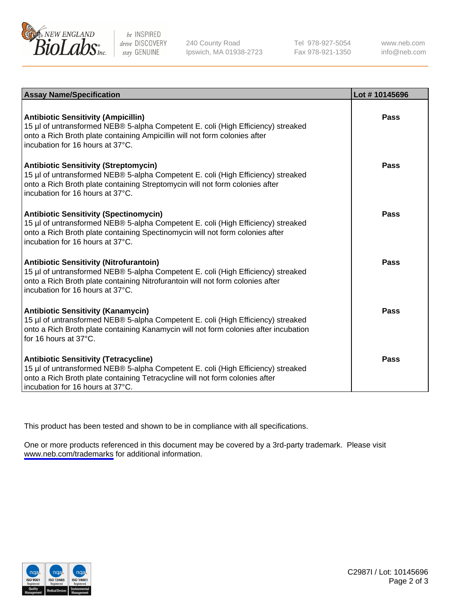

be INSPIRED drive DISCOVERY stay GENUINE

240 County Road Ipswich, MA 01938-2723 Tel 978-927-5054 Fax 978-921-1350

www.neb.com info@neb.com

| <b>Assay Name/Specification</b>                                                                                                                                                                                                                          | Lot #10145696 |
|----------------------------------------------------------------------------------------------------------------------------------------------------------------------------------------------------------------------------------------------------------|---------------|
| <b>Antibiotic Sensitivity (Ampicillin)</b><br>15 µl of untransformed NEB® 5-alpha Competent E. coli (High Efficiency) streaked<br>onto a Rich Broth plate containing Ampicillin will not form colonies after<br>incubation for 16 hours at 37°C.         | Pass          |
| <b>Antibiotic Sensitivity (Streptomycin)</b><br>15 µl of untransformed NEB® 5-alpha Competent E. coli (High Efficiency) streaked<br>onto a Rich Broth plate containing Streptomycin will not form colonies after<br>incubation for 16 hours at 37°C.     | Pass          |
| <b>Antibiotic Sensitivity (Spectinomycin)</b><br>15 µl of untransformed NEB® 5-alpha Competent E. coli (High Efficiency) streaked<br>onto a Rich Broth plate containing Spectinomycin will not form colonies after<br>incubation for 16 hours at 37°C.   | Pass          |
| <b>Antibiotic Sensitivity (Nitrofurantoin)</b><br>15 µl of untransformed NEB® 5-alpha Competent E. coli (High Efficiency) streaked<br>onto a Rich Broth plate containing Nitrofurantoin will not form colonies after<br>incubation for 16 hours at 37°C. | <b>Pass</b>   |
| <b>Antibiotic Sensitivity (Kanamycin)</b><br>15 µl of untransformed NEB® 5-alpha Competent E. coli (High Efficiency) streaked<br>onto a Rich Broth plate containing Kanamycin will not form colonies after incubation<br>for 16 hours at $37^{\circ}$ C. | Pass          |
| <b>Antibiotic Sensitivity (Tetracycline)</b><br>15 µl of untransformed NEB® 5-alpha Competent E. coli (High Efficiency) streaked<br>onto a Rich Broth plate containing Tetracycline will not form colonies after<br>incubation for 16 hours at 37°C.     | Pass          |

This product has been tested and shown to be in compliance with all specifications.

One or more products referenced in this document may be covered by a 3rd-party trademark. Please visit <www.neb.com/trademarks>for additional information.